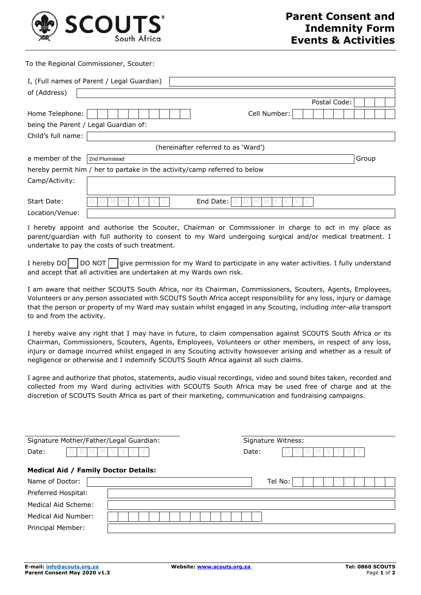

To the Regional Commissioner, Scouter:

| of (Address)                                                                   | I, (Full names of Parent / Legal Guardian)<br>Postal Code: |       |  |  |  |  |  |
|--------------------------------------------------------------------------------|------------------------------------------------------------|-------|--|--|--|--|--|
| Home Telephone:<br>being the Parent / Legal Guardian of:<br>Child's full name: | Cell Number:                                               |       |  |  |  |  |  |
| (hereinafter referred to as 'Ward')                                            |                                                            |       |  |  |  |  |  |
| a member of the                                                                | 2nd Plumstead                                              | Group |  |  |  |  |  |
| hereby permit him / her to partake in the activity/camp referred to below      |                                                            |       |  |  |  |  |  |
| Camp/Activity:                                                                 |                                                            |       |  |  |  |  |  |
| Start Date:                                                                    | End Date:                                                  |       |  |  |  |  |  |
| Location/Venue:                                                                |                                                            |       |  |  |  |  |  |

I hereby appoint and authorise the Scouter, Chairman or Commissioner in charge to act in my place as parent/guardian with full authority to consent to my Ward undergoing surgical and/or medical treatment. I undertake to pay the costs of such treatment.

I hereby  $DO \bigcap DO \text{ NOT} \bigcap \text{give permission for my Ward to participate in any water activities.}$  I fully understand and accept that all activities are undertaken at my Wards own risk.

I am aware that neither SCOUTS South Africa, nor its Chairman, Commissioners, Scouters, Agents, Employees, Volunteers or any person associated with SCOUTS South Africa accept responsibility for any loss, injury or damage that the person or property of my Ward may sustain whilst engaged in any Scouting, including *inter-alia* transport to and from the activity.

I hereby waive any right that I may have in future, to claim compensation against SCOUTS South Africa or its Chairman, Commissioners, Scouters, Agents, Employees, Volunteers or other members, in respect of any loss, injury or damage incurred whilst engaged in any Scouting activity howsoever arising and whether as a result of negligence or otherwise and I indemnify SCOUTS South Africa against all such claims.

I agree and authorize that photos, statements, audio visual recordings, video and sound bites taken, recorded and collected from my Ward during activities with SCOUTS South Africa may be used free of charge and at the discretion of SCOUTS South Africa as part of their marketing, communication and fundraising campaigns.

| Signature Mother/Father/Legal Guardian:     | Signature Witness: |  |  |  |  |  |  |
|---------------------------------------------|--------------------|--|--|--|--|--|--|
| Date:                                       | Date:              |  |  |  |  |  |  |
| <b>Medical Aid / Family Doctor Details:</b> |                    |  |  |  |  |  |  |
| Name of Doctor:                             | Tel No:            |  |  |  |  |  |  |
| Preferred Hospital:                         |                    |  |  |  |  |  |  |
| Medical Aid Scheme:                         |                    |  |  |  |  |  |  |
| Medical Aid Number:                         |                    |  |  |  |  |  |  |
| Principal Member:                           |                    |  |  |  |  |  |  |